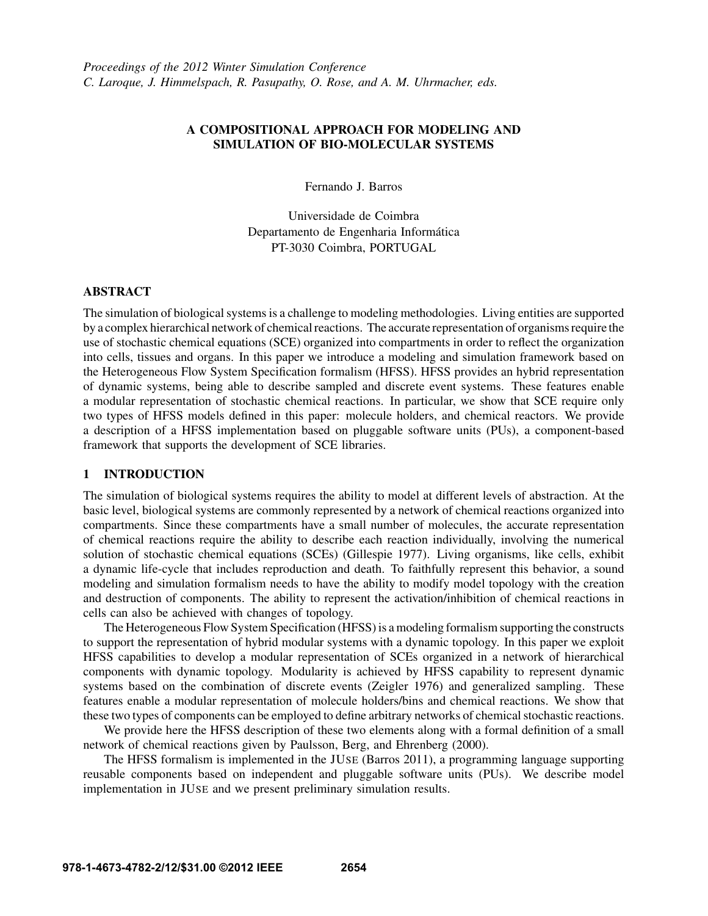# A COMPOSITIONAL APPROACH FOR MODELING AND SIMULATION OF BIO-MOLECULAR SYSTEMS

Fernando J. Barros

Universidade de Coimbra Departamento de Engenharia Informatica ´ PT-3030 Coimbra, PORTUGAL

### ABSTRACT

The simulation of biological systems is a challenge to modeling methodologies. Living entities are supported by a complex hierarchical network of chemical reactions. The accurate representation of organisms require the use of stochastic chemical equations (SCE) organized into compartments in order to reflect the organization into cells, tissues and organs. In this paper we introduce a modeling and simulation framework based on the Heterogeneous Flow System Specification formalism (HFSS). HFSS provides an hybrid representation of dynamic systems, being able to describe sampled and discrete event systems. These features enable a modular representation of stochastic chemical reactions. In particular, we show that SCE require only two types of HFSS models defined in this paper: molecule holders, and chemical reactors. We provide a description of a HFSS implementation based on pluggable software units (PUs), a component-based framework that supports the development of SCE libraries.

## 1 INTRODUCTION

The simulation of biological systems requires the ability to model at different levels of abstraction. At the basic level, biological systems are commonly represented by a network of chemical reactions organized into compartments. Since these compartments have a small number of molecules, the accurate representation of chemical reactions require the ability to describe each reaction individually, involving the numerical solution of stochastic chemical equations (SCEs) (Gillespie 1977). Living organisms, like cells, exhibit a dynamic life-cycle that includes reproduction and death. To faithfully represent this behavior, a sound modeling and simulation formalism needs to have the ability to modify model topology with the creation and destruction of components. The ability to represent the activation/inhibition of chemical reactions in cells can also be achieved with changes of topology.

The Heterogeneous Flow System Specification (HFSS) is a modeling formalism supporting the constructs to support the representation of hybrid modular systems with a dynamic topology. In this paper we exploit HFSS capabilities to develop a modular representation of SCEs organized in a network of hierarchical components with dynamic topology. Modularity is achieved by HFSS capability to represent dynamic systems based on the combination of discrete events (Zeigler 1976) and generalized sampling. These features enable a modular representation of molecule holders/bins and chemical reactions. We show that these two types of components can be employed to define arbitrary networks of chemical stochastic reactions.

We provide here the HFSS description of these two elements along with a formal definition of a small network of chemical reactions given by Paulsson, Berg, and Ehrenberg (2000).

The HFSS formalism is implemented in the JUSE (Barros 2011), a programming language supporting reusable components based on independent and pluggable software units (PUs). We describe model implementation in JUSE and we present preliminary simulation results.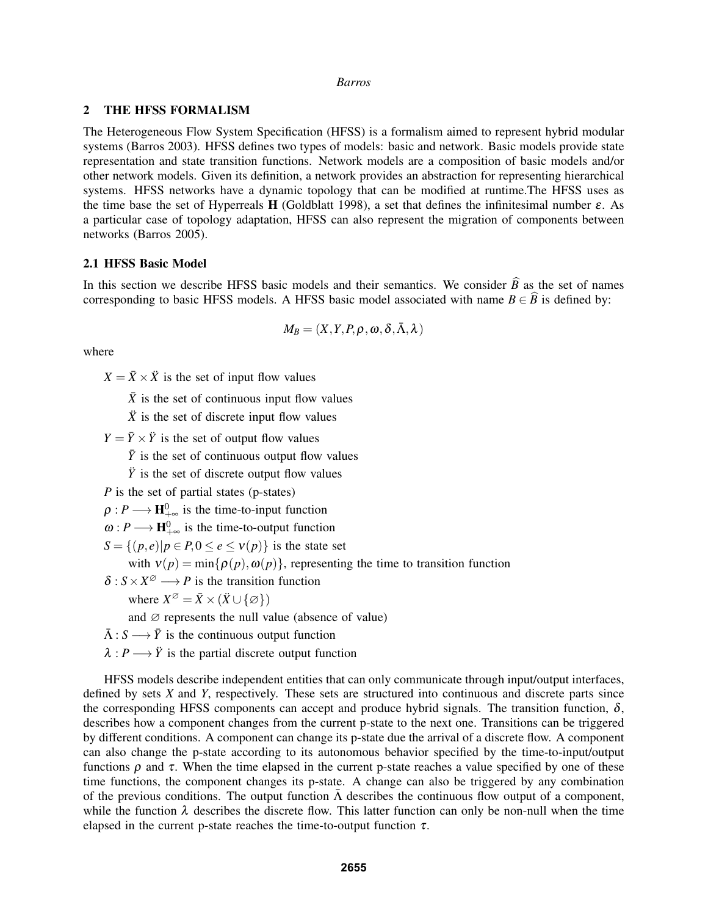### 2 THE HFSS FORMALISM

The Heterogeneous Flow System Specification (HFSS) is a formalism aimed to represent hybrid modular systems (Barros 2003). HFSS defines two types of models: basic and network. Basic models provide state representation and state transition functions. Network models are a composition of basic models and/or other network models. Given its definition, a network provides an abstraction for representing hierarchical systems. HFSS networks have a dynamic topology that can be modified at runtime.The HFSS uses as the time base the set of Hyperreals **H** (Goldblatt 1998), a set that defines the infinitesimal number  $\varepsilon$ . As a particular case of topology adaptation, HFSS can also represent the migration of components between networks (Barros 2005).

## 2.1 HFSS Basic Model

In this section we describe HFSS basic models and their semantics. We consider  $\hat{B}$  as the set of names corresponding to basic HFSS models. A HFSS basic model associated with name  $B \in \widehat{B}$  is defined by:

$$
M_B=(X,Y,P,\rho,\omega,\delta,\bar{\Lambda},\lambda)
$$

where

 $X = \overline{X} \times \overline{X}$  is the set of input flow values

 $\bar{X}$  is the set of continuous input flow values

 $\ddot{X}$  is the set of discrete input flow values

 $Y = \overline{Y} \times \overline{Y}$  is the set of output flow values

 $\bar{Y}$  is the set of continuous output flow values

 $\ddot{y}$  is the set of discrete output flow values

*P* is the set of partial states (p-states)

 $\rho: P \longrightarrow \mathbf{H}_{+\infty}^0$  is the time-to-input function

 $\omega: P \longrightarrow \mathbf{H}_{+\infty}^0$  is the time-to-output function

 $S = \{(p, e) | p \in P, 0 \le e \le v(p)\}\$ is the state set

with  $v(p) = min\{\rho(p), \omega(p)\}\$ , representing the time to transition function

 $\delta: S \times X^{\emptyset} \longrightarrow P$  is the transition function

where  $X^{\emptyset} = \overline{X} \times (\overline{X} \cup {\emptyset})$ 

and  $\varnothing$  represents the null value (absence of value)

- $\bar{\Lambda}: S \longrightarrow \bar{Y}$  is the continuous output function
- $\lambda$ : *P* → *Y*<sup> $\dot{Y}$ </sup> is the partial discrete output function

HFSS models describe independent entities that can only communicate through input/output interfaces, defined by sets *X* and *Y*, respectively. These sets are structured into continuous and discrete parts since the corresponding HFSS components can accept and produce hybrid signals. The transition function,  $\delta$ , describes how a component changes from the current p-state to the next one. Transitions can be triggered by different conditions. A component can change its p-state due the arrival of a discrete flow. A component can also change the p-state according to its autonomous behavior specified by the time-to-input/output functions  $\rho$  and  $\tau$ . When the time elapsed in the current p-state reaches a value specified by one of these time functions, the component changes its p-state. A change can also be triggered by any combination of the previous conditions. The output function  $\bar{\Lambda}$  describes the continuous flow output of a component, while the function  $\lambda$  describes the discrete flow. This latter function can only be non-null when the time elapsed in the current p-state reaches the time-to-output function  $\tau$ .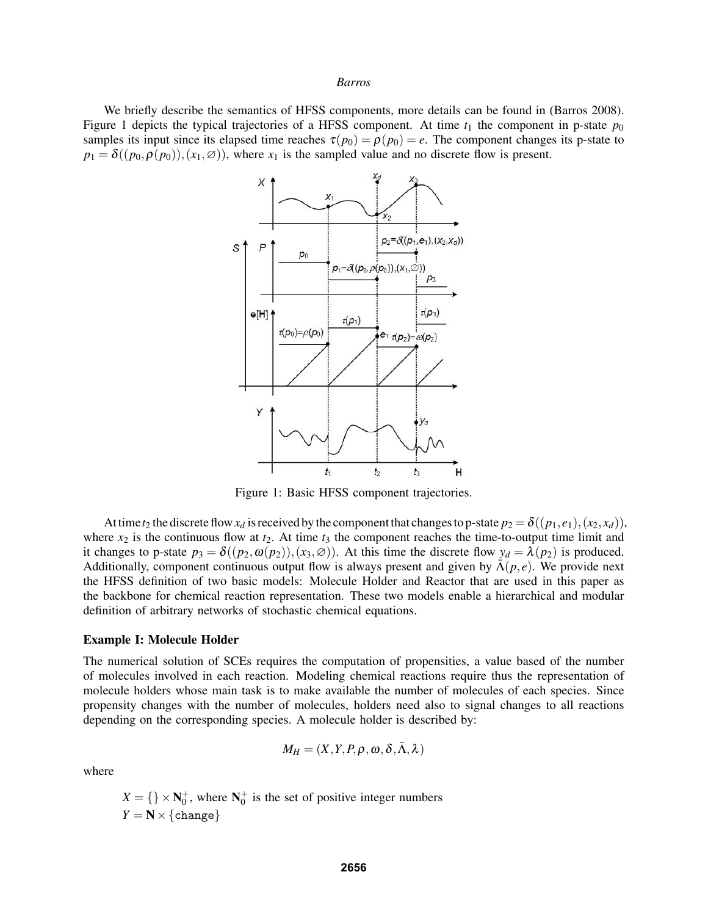We briefly describe the semantics of HFSS components, more details can be found in (Barros 2008). Figure 1 depicts the typical trajectories of a HFSS component. At time  $t_1$  the component in p-state  $p_0$ samples its input since its elapsed time reaches  $\tau(p_0) = \rho(p_0) = e$ . The component changes its p-state to  $p_1 = \delta((p_0, \rho(p_0)), (x_1, \emptyset))$ , where  $x_1$  is the sampled value and no discrete flow is present.



Figure 1: Basic HFSS component trajectories.

At time  $t_2$  the discrete flow  $x_d$  is received by the component that changes to p-state  $p_2 = \delta((p_1, e_1), (x_2, x_d))$ , where  $x_2$  is the continuous flow at  $t_2$ . At time  $t_3$  the component reaches the time-to-output time limit and it changes to p-state  $p_3 = \delta((p_2, \omega(p_2)), (x_3, \varnothing))$ . At this time the discrete flow  $y_d = \lambda(p_2)$  is produced. Additionally, component continuous output flow is always present and given by  $\bar{\Lambda}(p,e)$ . We provide next the HFSS definition of two basic models: Molecule Holder and Reactor that are used in this paper as the backbone for chemical reaction representation. These two models enable a hierarchical and modular definition of arbitrary networks of stochastic chemical equations.

#### Example I: Molecule Holder

The numerical solution of SCEs requires the computation of propensities, a value based of the number of molecules involved in each reaction. Modeling chemical reactions require thus the representation of molecule holders whose main task is to make available the number of molecules of each species. Since propensity changes with the number of molecules, holders need also to signal changes to all reactions depending on the corresponding species. A molecule holder is described by:

$$
M_H = (X, Y, P, \rho, \omega, \delta, \bar{\Lambda}, \lambda)
$$

where

 $X = \{\}\times \mathbb{N}_0^+$ , where  $\mathbb{N}_0^+$  is the set of positive integer numbers  $Y = N \times \{change\}$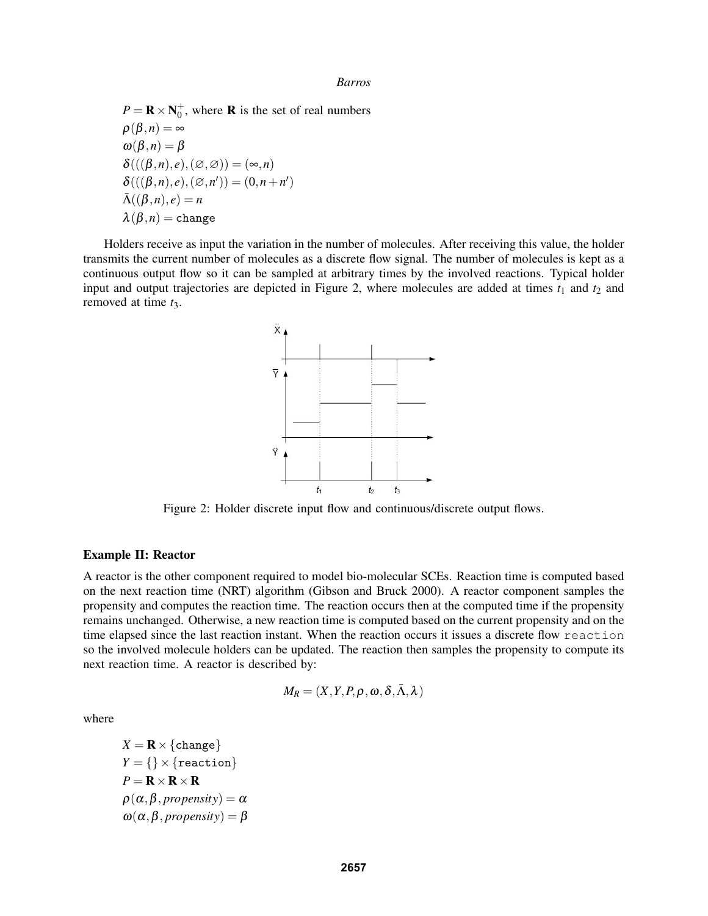$P = \mathbf{R} \times \mathbf{N}_0^+$ , where **R** is the set of real numbers  $\rho(\beta,n) = \infty$  $\omega(\beta,n) = \beta$  $\delta(((\beta,n),e),(\varnothing,\varnothing)) = (\infty,n)$  $\delta(((\beta, n), e), (\emptyset, n')) = (0, n + n')$  $\bar{\Lambda}((\beta,n),e)=n$  $\lambda(\beta,n) = \text{change}$ 

Holders receive as input the variation in the number of molecules. After receiving this value, the holder transmits the current number of molecules as a discrete flow signal. The number of molecules is kept as a continuous output flow so it can be sampled at arbitrary times by the involved reactions. Typical holder input and output trajectories are depicted in Figure 2, where molecules are added at times  $t_1$  and  $t_2$  and removed at time *t*3.



Figure 2: Holder discrete input flow and continuous/discrete output flows.

### Example II: Reactor

A reactor is the other component required to model bio-molecular SCEs. Reaction time is computed based on the next reaction time (NRT) algorithm (Gibson and Bruck 2000). A reactor component samples the propensity and computes the reaction time. The reaction occurs then at the computed time if the propensity remains unchanged. Otherwise, a new reaction time is computed based on the current propensity and on the time elapsed since the last reaction instant. When the reaction occurs it issues a discrete flow reaction so the involved molecule holders can be updated. The reaction then samples the propensity to compute its next reaction time. A reactor is described by:

$$
M_R = (X, Y, P, \rho, \omega, \delta, \bar{\Lambda}, \lambda)
$$

where

 $X = \mathbf{R} \times \{\text{change}\}\$  $Y = \{\}\times\{\text{reaction}\}$  $P = \mathbf{R} \times \mathbf{R} \times \mathbf{R}$  $\rho(\alpha, \beta,$  *propensity* $) = \alpha$  $\omega(\alpha, \beta,$  *propensity* $) = \beta$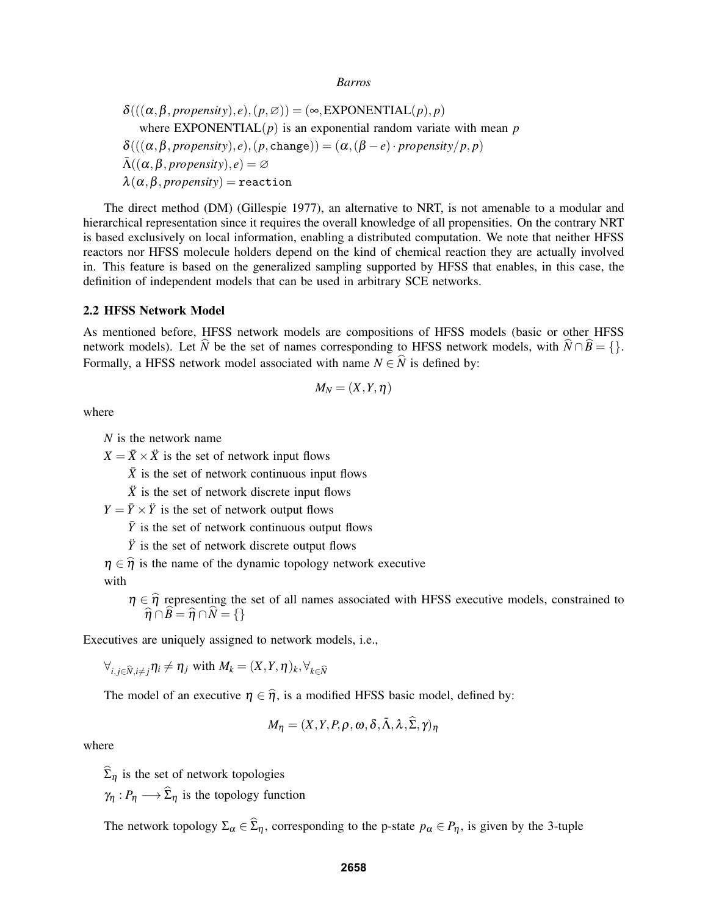$$
\delta(((\alpha,\beta, propensity), e), (p, \varnothing)) = (\infty, EXPONENTIAL(p), p)
$$
  
where EXPONENTIAL(p) is an exponential random variate with mean p  

$$
\delta(((\alpha,\beta, propensity), e), (p, change)) = (\alpha, (\beta - e) \cdot propensity/p, p)
$$
  

$$
\bar{\Lambda}((\alpha,\beta, propensity), e) = \varnothing
$$
  

$$
\lambda(\alpha,\beta, propensity) = reaction
$$

The direct method (DM) (Gillespie 1977), an alternative to NRT, is not amenable to a modular and hierarchical representation since it requires the overall knowledge of all propensities. On the contrary NRT is based exclusively on local information, enabling a distributed computation. We note that neither HFSS reactors nor HFSS molecule holders depend on the kind of chemical reaction they are actually involved in. This feature is based on the generalized sampling supported by HFSS that enables, in this case, the definition of independent models that can be used in arbitrary SCE networks.

#### 2.2 HFSS Network Model

As mentioned before, HFSS network models are compositions of HFSS models (basic or other HFSS network models). Let  $\hat{N}$  be the set of names corresponding to HFSS network models, with  $\hat{N} \cap \hat{B} = \{\}.$ Formally, a HFSS network model associated with name  $N \in \hat{N}$  is defined by:

$$
M_N=(X,Y,\eta)
$$

where

*N* is the network name

 $X = \overline{X} \times \overline{X}$  is the set of network input flows

 $\bar{X}$  is the set of network continuous input flows

 $\ddot{X}$  is the set of network discrete input flows

 $Y = \overline{Y} \times \overline{Y}$  is the set of network output flows

 $\bar{Y}$  is the set of network continuous output flows

 $\ddot{Y}$  is the set of network discrete output flows

 $\eta \in \hat{\eta}$  is the name of the dynamic topology network executive

with

 $\eta \in \hat{\eta}$  representing the set of all names associated with HFSS executive models, constrained to  $\hat{\eta} \cap \hat{\rho} = \hat{\eta} \cap \hat{\chi} = 0$  $\widehat{\eta} \cap \widehat{B} = \widehat{\eta} \cap \widehat{N} = \{\}$ 

Executives are uniquely assigned to network models, i.e.,

 $\forall_{i,j\in\widehat{N},i\neq j}\eta_i\neq\eta_j$  with  $M_k=(X,Y,\eta)_k,\forall_{k\in\widehat{N}}$ 

The model of an executive  $\eta \in \hat{\eta}$ , is a modified HFSS basic model, defined by:

$$
M_{\eta} = (X, Y, P, \rho, \omega, \delta, \bar{\Lambda}, \lambda, \widehat{\Sigma}, \gamma)_{\eta}
$$

where

 $\widehat{\Sigma}_n$  is the set of network topologies

 $\gamma_n : P_n \longrightarrow \widehat{\Sigma}_n$  is the topology function

The network topology  $\Sigma_{\alpha} \in \widehat{\Sigma}_{\eta}$ , corresponding to the p-state  $p_{\alpha} \in P_{\eta}$ , is given by the 3-tuple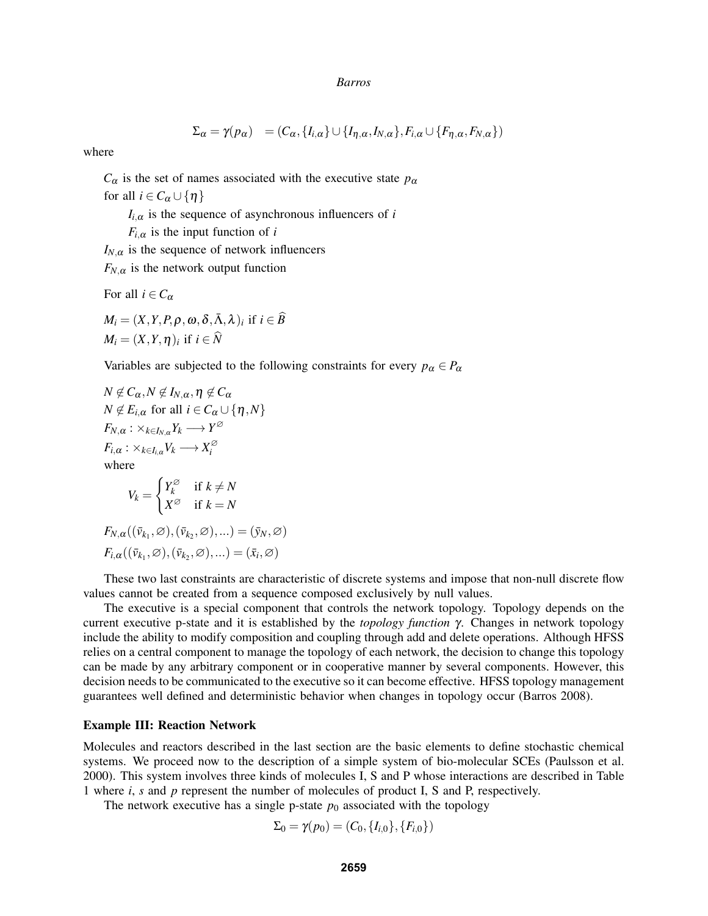$$
\Sigma_{\alpha} = \gamma(p_{\alpha}) = (C_{\alpha}, \{I_{i,\alpha}\} \cup \{I_{\eta,\alpha}, I_{N,\alpha}\}, F_{i,\alpha} \cup \{F_{\eta,\alpha}, F_{N,\alpha}\})
$$

where

 $C_{\alpha}$  is the set of names associated with the executive state  $p_{\alpha}$ for all  $i \in C_\alpha \cup \{\eta\}$ 

 $I_{i,\alpha}$  is the sequence of asynchronous influencers of *i* 

 $F_{i,\alpha}$  is the input function of *i* 

 $I_{N,\alpha}$  is the sequence of network influencers

 $F_{N,\alpha}$  is the network output function

$$
M_i = (X, Y, P, \rho, \omega, \delta, \bar{\Lambda}, \lambda)_i \text{ if } i \in M_i = (X, Y, \eta)_i \text{ if } i \in \widehat{N}
$$

For all  $i \in C_{\alpha}$ 

Variables are subjected to the following constraints for every  $p_\alpha \in P_\alpha$ 

 $\widehat{B}$ 

$$
N \notin C_{\alpha}, N \notin I_{N,\alpha}, \eta \notin C_{\alpha}
$$
  
\n
$$
N \notin E_{i,\alpha} \text{ for all } i \in C_{\alpha} \cup \{\eta, N\}
$$
  
\n
$$
F_{N,\alpha} : \times_{k \in I_{N,\alpha}} Y_k \longrightarrow Y^{\varnothing}
$$
  
\n
$$
F_{i,\alpha} : \times_{k \in I_{i,\alpha}} V_k \longrightarrow X_i^{\varnothing}
$$
  
\nwhere  
\n
$$
V_k = \begin{cases} Y_k^{\varnothing} & \text{if } k \neq N \\ X^{\varnothing} & \text{if } k = N \end{cases}
$$
  
\n
$$
F_{N,\alpha}((\bar{v}_{k_1}, \varnothing), (\bar{v}_{k_2}, \varnothing), \dots) = (\bar{y}_N, \varnothing)
$$
  
\n
$$
F_{i,\alpha}((\bar{v}_{k_1}, \varnothing), (\bar{v}_{k_2}, \varnothing), \dots) = (\bar{x}_i, \varnothing)
$$

These two last constraints are characteristic of discrete systems and impose that non-null discrete flow values cannot be created from a sequence composed exclusively by null values.

The executive is a special component that controls the network topology. Topology depends on the current executive p-state and it is established by the *topology function* γ. Changes in network topology include the ability to modify composition and coupling through add and delete operations. Although HFSS relies on a central component to manage the topology of each network, the decision to change this topology can be made by any arbitrary component or in cooperative manner by several components. However, this decision needs to be communicated to the executive so it can become effective. HFSS topology management guarantees well defined and deterministic behavior when changes in topology occur (Barros 2008).

### Example III: Reaction Network

Molecules and reactors described in the last section are the basic elements to define stochastic chemical systems. We proceed now to the description of a simple system of bio-molecular SCEs (Paulsson et al. 2000). This system involves three kinds of molecules I, S and P whose interactions are described in Table 1 where *i*, *s* and *p* represent the number of molecules of product I, S and P, respectively.

The network executive has a single p-state  $p_0$  associated with the topology

$$
\Sigma_0 = \gamma(p_0) = (C_0, \{I_{i,0}\}, \{F_{i,0}\})
$$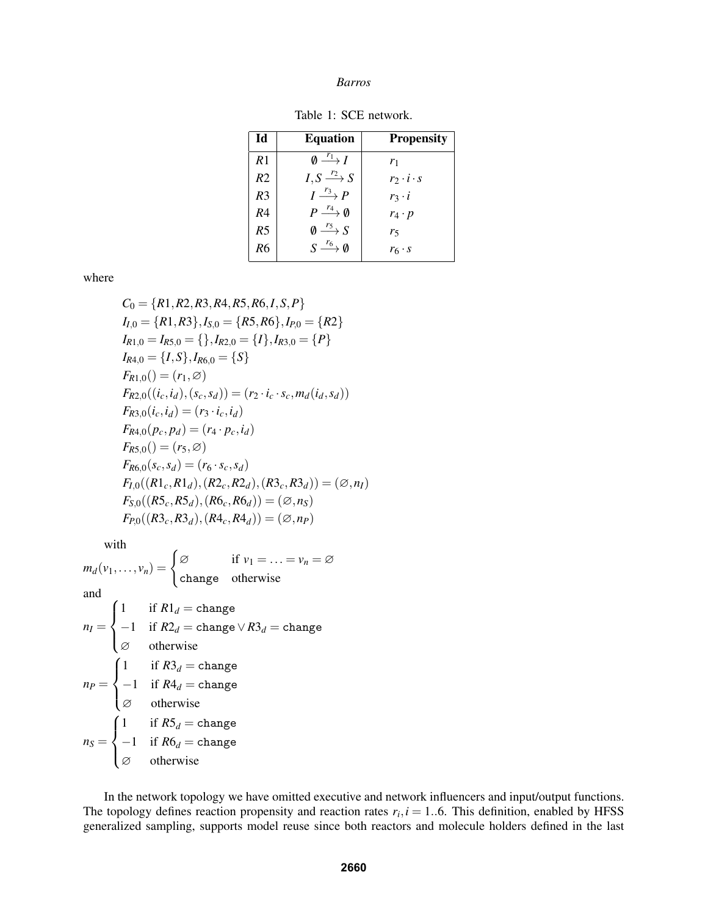Table 1: SCE network.

| Id             | <b>Equation</b>                               | <b>Propensity</b>     |
|----------------|-----------------------------------------------|-----------------------|
| R <sub>1</sub> | $\emptyset \stackrel{r_1}{\longrightarrow} I$ | $r_1$                 |
| R <sub>2</sub> | $I, S \xrightarrow{r_2} S$                    | $r_2 \cdot i \cdot s$ |
| R <sub>3</sub> | $I \stackrel{r_3}{\longrightarrow} P$         | $r_3 \cdot i$         |
| R <sub>4</sub> | $P \stackrel{r_4}{\longrightarrow} \emptyset$ | $r_4 \cdot p$         |
| R <sub>5</sub> | $\emptyset \stackrel{r_5}{\longrightarrow} S$ | r5                    |
| R6             | $S \longrightarrow^{\mathit{r}_6} \emptyset$  | $r_6 \cdot s$         |

where

$$
C_0 = \{R1, R2, R3, R4, R5, R6, I, S, P\}
$$
  
\n
$$
I_{I,0} = \{R1, R3\}, I_{S,0} = \{R5, R6\}, I_{P,0} = \{R2\}
$$
  
\n
$$
I_{R1,0} = I_{R5,0} = \{\}, I_{R2,0} = \{I\}, I_{R3,0} = \{P\}
$$
  
\n
$$
I_{R4,0} = \{I, S\}, I_{R6,0} = \{S\}
$$
  
\n
$$
F_{R1,0}() = (r_1, \emptyset)
$$
  
\n
$$
F_{R2,0}((i_c, i_d), (s_c, s_d)) = (r_2 \cdot i_c \cdot s_c, m_d(i_d, s_d))
$$
  
\n
$$
F_{R3,0}(i_c, i_d) = (r_3 \cdot i_c, i_d)
$$
  
\n
$$
F_{R4,0}(p_c, p_d) = (r_4 \cdot p_c, i_d)
$$
  
\n
$$
F_{R5,0}() = (r_5, \emptyset)
$$
  
\n
$$
F_{R6,0}(s_c, s_d) = (r_6 \cdot s_c, s_d)
$$
  
\n
$$
F_{I,0}((R1_c, R1_d), (R2_c, R2_d), (R3_c, R3_d)) = (\emptyset, n_I)
$$
  
\n
$$
F_{S,0}((R5_c, R5_d), (R6_c, R6_d)) = (\emptyset, n_S)
$$
  
\n
$$
F_{P,0}((R3_c, R3_d), (R4_c, R4_d)) = (\emptyset, n_P)
$$

with

 $m_d(v_1,\ldots,v_n) = \begin{cases} \varnothing & \text{if } v_1 = \ldots = v_n = \varnothing \end{cases}$ change otherwise and  $n_I =$  $\sqrt{ }$  $\int$  $\overline{\mathcal{L}}$ 1 if  $R1_d$  = change  $-1$  if  $R2_d$  = change  $\vee R3_d$  = change ∅ otherwise  $np =$  $\sqrt{ }$  $\int$  $\overline{\mathcal{L}}$ 1 if  $R3_d$  = change  $-1$  if  $R4_d$  = change ∅ otherwise  $n_S =$  $\sqrt{ }$  $\int$  $\overline{\mathcal{L}}$ 1 if  $R5_d$  = change  $-1$  if  $R6_d = \text{change}$ ∅ otherwise

In the network topology we have omitted executive and network influencers and input/output functions. The topology defines reaction propensity and reaction rates  $r_i$ ,  $i = 1..6$ . This definition, enabled by HFSS generalized sampling, supports model reuse since both reactors and molecule holders defined in the last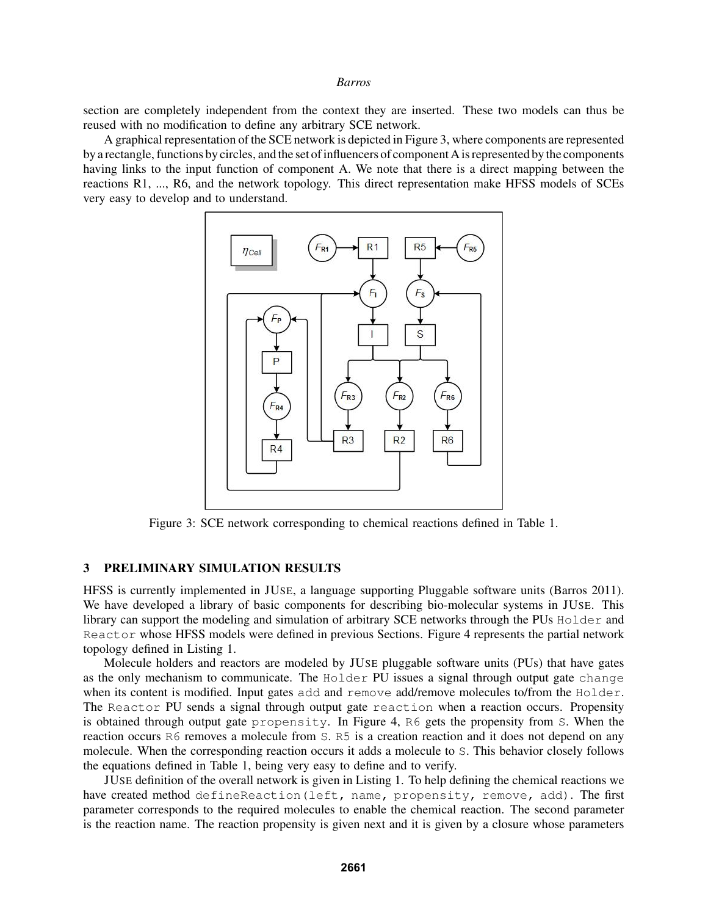section are completely independent from the context they are inserted. These two models can thus be reused with no modification to define any arbitrary SCE network.

A graphical representation of the SCE network is depicted in Figure 3, where components are represented by a rectangle, functions by circles, and the set of influencers of component A is represented by the components having links to the input function of component A. We note that there is a direct mapping between the reactions R1, ..., R6, and the network topology. This direct representation make HFSS models of SCEs very easy to develop and to understand.



Figure 3: SCE network corresponding to chemical reactions defined in Table 1.

### 3 PRELIMINARY SIMULATION RESULTS

HFSS is currently implemented in JUSE, a language supporting Pluggable software units (Barros 2011). We have developed a library of basic components for describing bio-molecular systems in JUSE. This library can support the modeling and simulation of arbitrary SCE networks through the PUs Holder and Reactor whose HFSS models were defined in previous Sections. Figure 4 represents the partial network topology defined in Listing 1.

Molecule holders and reactors are modeled by JUSE pluggable software units (PUs) that have gates as the only mechanism to communicate. The Holder PU issues a signal through output gate change when its content is modified. Input gates add and remove add/remove molecules to/from the Holder. The Reactor PU sends a signal through output gate reaction when a reaction occurs. Propensity is obtained through output gate propensity. In Figure 4, R6 gets the propensity from S. When the reaction occurs R6 removes a molecule from S. R5 is a creation reaction and it does not depend on any molecule. When the corresponding reaction occurs it adds a molecule to S. This behavior closely follows the equations defined in Table 1, being very easy to define and to verify.

JUSE definition of the overall network is given in Listing 1. To help defining the chemical reactions we have created method defineReaction(left, name, propensity, remove, add). The first parameter corresponds to the required molecules to enable the chemical reaction. The second parameter is the reaction name. The reaction propensity is given next and it is given by a closure whose parameters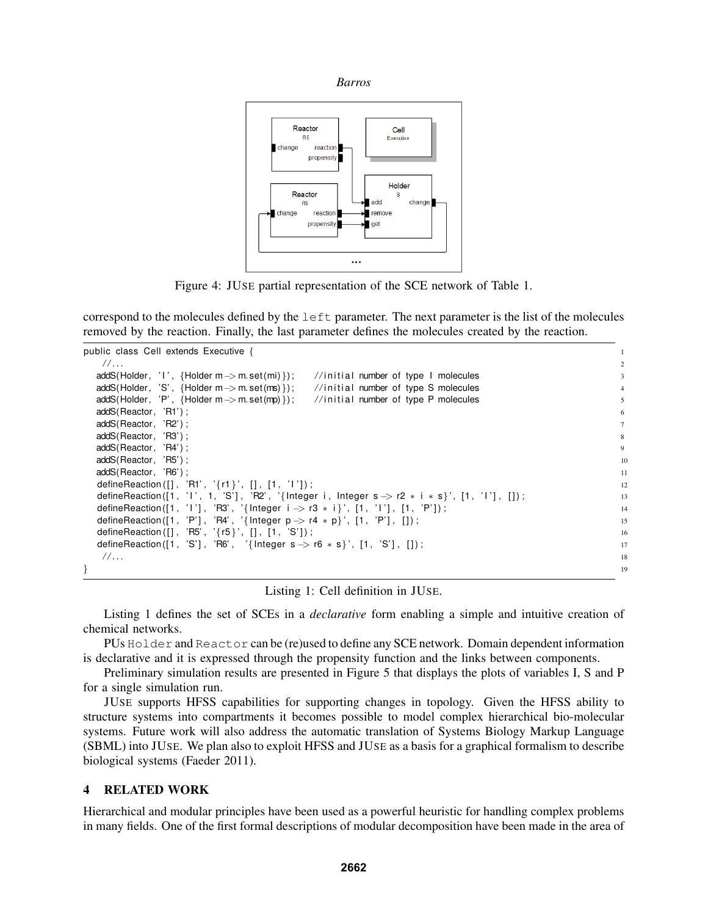



Figure 4: JUSE partial representation of the SCE network of Table 1.

correspond to the molecules defined by the  $l$  eft parameter. The next parameter is the list of the molecules removed by the reaction. Finally, the last parameter defines the molecules created by the reaction.

```
public class Cell extends Executive { 1
  / / . . . 2
 addS(Holder, 'I', {Holder m -> m. set(mi)}); //initial number of type I molecules 3
 addS(Holder, 'S', {Holder m -> m. set(ms)}); //initial number of type S molecules 4
 addS(Holder, 'P', {Holder m -> m. set (mp) }); //initial number of type P molecules
 addS(Reactor, 'R1');
 addS(Reactor, 'R2'); 7
 addS(Reactor, 'R3'); 8
 addS(Reactor, 'R4' ) ; 9
 addS(Reactor, 'R5'); 10
 addS(Reactor, 'R6'); 11
 defineReaction ([], 'R1', '{r1}', [], [1, '1']);
 defineReaction ([1, '1', 1, 'S'], 'R2', '{Integer i, Integer s \rightarrow r2 * i * s}', [1, '1'], []);
 defineReaction([1,'I '], 'R3', '{Integer i -> r3 ∗ i } ', [1, 'I '],[1, 'P']) ;               14
 defineReaction([1,'P'],'R4','{Integer p –> r4 ∗ p}',[1,'P'],[]) ;                                  
 defineReaction ([] , 'R5' , '{r5}',[] , [1 , 'S']) ;                             16
 defineReaction ([1, 'S'], 'R6', '{Integer s \rightarrow r6 * s}', [1, 'S'], []); 17
  / / . . . 18
\} 19
```


Listing 1 defines the set of SCEs in a *declarative* form enabling a simple and intuitive creation of chemical networks.

PUs Holder and Reactor can be (re)used to define any SCE network. Domain dependent information is declarative and it is expressed through the propensity function and the links between components.

Preliminary simulation results are presented in Figure 5 that displays the plots of variables I, S and P for a single simulation run.

JUSE supports HFSS capabilities for supporting changes in topology. Given the HFSS ability to structure systems into compartments it becomes possible to model complex hierarchical bio-molecular systems. Future work will also address the automatic translation of Systems Biology Markup Language (SBML) into JUSE. We plan also to exploit HFSS and JUSE as a basis for a graphical formalism to describe biological systems (Faeder 2011).

### 4 RELATED WORK

Hierarchical and modular principles have been used as a powerful heuristic for handling complex problems in many fields. One of the first formal descriptions of modular decomposition have been made in the area of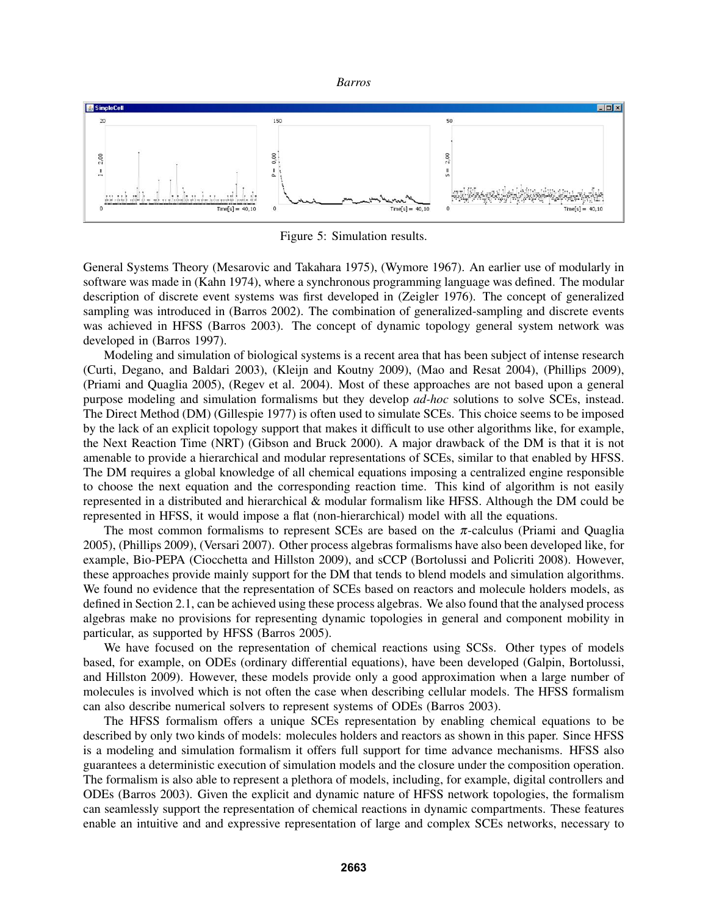



Figure 5: Simulation results.

General Systems Theory (Mesarovic and Takahara 1975), (Wymore 1967). An earlier use of modularly in software was made in (Kahn 1974), where a synchronous programming language was defined. The modular description of discrete event systems was first developed in (Zeigler 1976). The concept of generalized sampling was introduced in (Barros 2002). The combination of generalized-sampling and discrete events was achieved in HFSS (Barros 2003). The concept of dynamic topology general system network was developed in (Barros 1997).

Modeling and simulation of biological systems is a recent area that has been subject of intense research (Curti, Degano, and Baldari 2003), (Kleijn and Koutny 2009), (Mao and Resat 2004), (Phillips 2009), (Priami and Quaglia 2005), (Regev et al. 2004). Most of these approaches are not based upon a general purpose modeling and simulation formalisms but they develop *ad-hoc* solutions to solve SCEs, instead. The Direct Method (DM) (Gillespie 1977) is often used to simulate SCEs. This choice seems to be imposed by the lack of an explicit topology support that makes it difficult to use other algorithms like, for example, the Next Reaction Time (NRT) (Gibson and Bruck 2000). A major drawback of the DM is that it is not amenable to provide a hierarchical and modular representations of SCEs, similar to that enabled by HFSS. The DM requires a global knowledge of all chemical equations imposing a centralized engine responsible to choose the next equation and the corresponding reaction time. This kind of algorithm is not easily represented in a distributed and hierarchical & modular formalism like HFSS. Although the DM could be represented in HFSS, it would impose a flat (non-hierarchical) model with all the equations.

The most common formalisms to represent SCEs are based on the  $\pi$ -calculus (Priami and Quaglia 2005), (Phillips 2009), (Versari 2007). Other process algebras formalisms have also been developed like, for example, Bio-PEPA (Ciocchetta and Hillston 2009), and sCCP (Bortolussi and Policriti 2008). However, these approaches provide mainly support for the DM that tends to blend models and simulation algorithms. We found no evidence that the representation of SCEs based on reactors and molecule holders models, as defined in Section 2.1, can be achieved using these process algebras. We also found that the analysed process algebras make no provisions for representing dynamic topologies in general and component mobility in particular, as supported by HFSS (Barros 2005).

We have focused on the representation of chemical reactions using SCSs. Other types of models based, for example, on ODEs (ordinary differential equations), have been developed (Galpin, Bortolussi, and Hillston 2009). However, these models provide only a good approximation when a large number of molecules is involved which is not often the case when describing cellular models. The HFSS formalism can also describe numerical solvers to represent systems of ODEs (Barros 2003).

The HFSS formalism offers a unique SCEs representation by enabling chemical equations to be described by only two kinds of models: molecules holders and reactors as shown in this paper. Since HFSS is a modeling and simulation formalism it offers full support for time advance mechanisms. HFSS also guarantees a deterministic execution of simulation models and the closure under the composition operation. The formalism is also able to represent a plethora of models, including, for example, digital controllers and ODEs (Barros 2003). Given the explicit and dynamic nature of HFSS network topologies, the formalism can seamlessly support the representation of chemical reactions in dynamic compartments. These features enable an intuitive and and expressive representation of large and complex SCEs networks, necessary to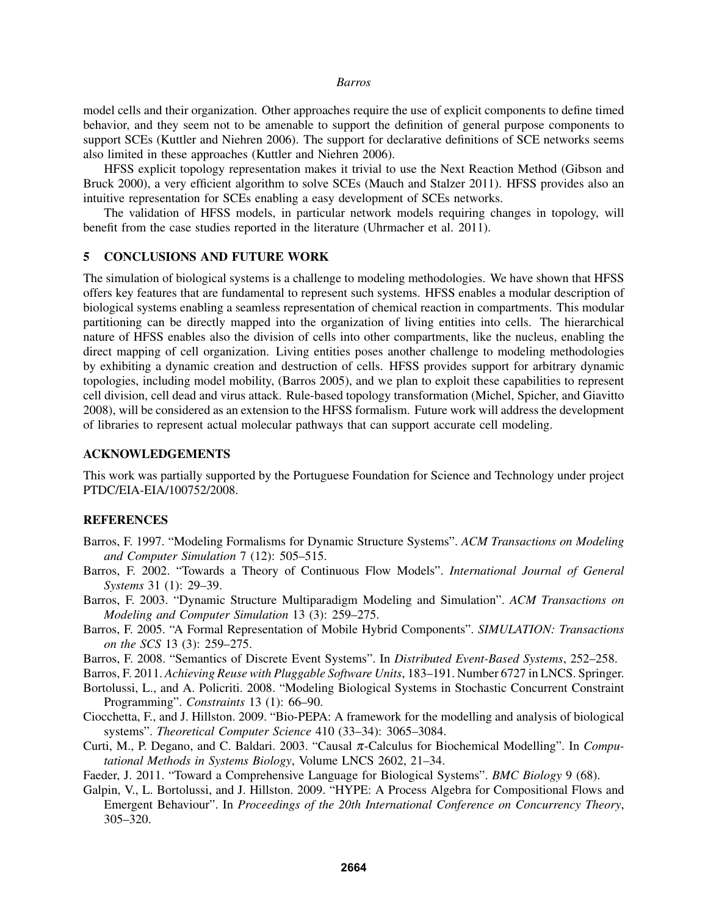model cells and their organization. Other approaches require the use of explicit components to define timed behavior, and they seem not to be amenable to support the definition of general purpose components to support SCEs (Kuttler and Niehren 2006). The support for declarative definitions of SCE networks seems also limited in these approaches (Kuttler and Niehren 2006).

HFSS explicit topology representation makes it trivial to use the Next Reaction Method (Gibson and Bruck 2000), a very efficient algorithm to solve SCEs (Mauch and Stalzer 2011). HFSS provides also an intuitive representation for SCEs enabling a easy development of SCEs networks.

The validation of HFSS models, in particular network models requiring changes in topology, will benefit from the case studies reported in the literature (Uhrmacher et al. 2011).

### 5 CONCLUSIONS AND FUTURE WORK

The simulation of biological systems is a challenge to modeling methodologies. We have shown that HFSS offers key features that are fundamental to represent such systems. HFSS enables a modular description of biological systems enabling a seamless representation of chemical reaction in compartments. This modular partitioning can be directly mapped into the organization of living entities into cells. The hierarchical nature of HFSS enables also the division of cells into other compartments, like the nucleus, enabling the direct mapping of cell organization. Living entities poses another challenge to modeling methodologies by exhibiting a dynamic creation and destruction of cells. HFSS provides support for arbitrary dynamic topologies, including model mobility, (Barros 2005), and we plan to exploit these capabilities to represent cell division, cell dead and virus attack. Rule-based topology transformation (Michel, Spicher, and Giavitto 2008), will be considered as an extension to the HFSS formalism. Future work will address the development of libraries to represent actual molecular pathways that can support accurate cell modeling.

# ACKNOWLEDGEMENTS

This work was partially supported by the Portuguese Foundation for Science and Technology under project PTDC/EIA-EIA/100752/2008.

#### REFERENCES

- Barros, F. 1997. "Modeling Formalisms for Dynamic Structure Systems". *ACM Transactions on Modeling and Computer Simulation* 7 (12): 505–515.
- Barros, F. 2002. "Towards a Theory of Continuous Flow Models". *International Journal of General Systems* 31 (1): 29–39.
- Barros, F. 2003. "Dynamic Structure Multiparadigm Modeling and Simulation". *ACM Transactions on Modeling and Computer Simulation* 13 (3): 259–275.
- Barros, F. 2005. "A Formal Representation of Mobile Hybrid Components". *SIMULATION: Transactions on the SCS* 13 (3): 259–275.
- Barros, F. 2008. "Semantics of Discrete Event Systems". In *Distributed Event-Based Systems*, 252–258.

Barros, F. 2011. *Achieving Reuse with Pluggable Software Units*, 183–191. Number 6727 in LNCS. Springer.

- Bortolussi, L., and A. Policriti. 2008. "Modeling Biological Systems in Stochastic Concurrent Constraint Programming". *Constraints* 13 (1): 66–90.
- Ciocchetta, F., and J. Hillston. 2009. "Bio-PEPA: A framework for the modelling and analysis of biological systems". *Theoretical Computer Science* 410 (33–34): 3065–3084.
- Curti, M., P. Degano, and C. Baldari. 2003. "Causal π-Calculus for Biochemical Modelling". In *Computational Methods in Systems Biology*, Volume LNCS 2602, 21–34.
- Faeder, J. 2011. "Toward a Comprehensive Language for Biological Systems". *BMC Biology* 9 (68).
- Galpin, V., L. Bortolussi, and J. Hillston. 2009. "HYPE: A Process Algebra for Compositional Flows and Emergent Behaviour". In *Proceedings of the 20th International Conference on Concurrency Theory*, 305–320.